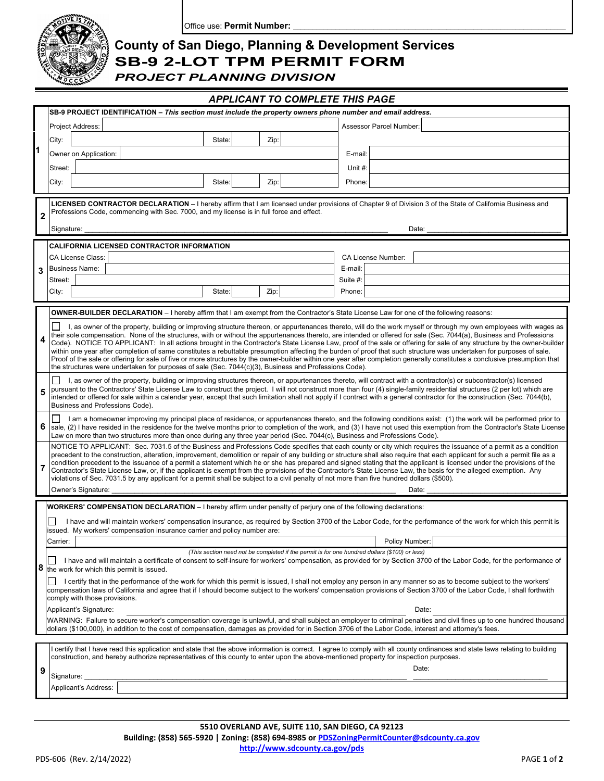

Office use: Permit Number:

## **County of San Diego, Planning & Development Services SB-9 2-LOT TPM PERMIT FORM**

*PROJECT PLANNING DIVISION*

| <b>APPLICANT TO COMPLETE THIS PAGE</b>                                                                                                                           |                                                                                                                                                                                                                                                                                                                                                                                                                                                                                                                           |                                                                                                                                                                                                                                                                                                                                 |          |                         |  |
|------------------------------------------------------------------------------------------------------------------------------------------------------------------|---------------------------------------------------------------------------------------------------------------------------------------------------------------------------------------------------------------------------------------------------------------------------------------------------------------------------------------------------------------------------------------------------------------------------------------------------------------------------------------------------------------------------|---------------------------------------------------------------------------------------------------------------------------------------------------------------------------------------------------------------------------------------------------------------------------------------------------------------------------------|----------|-------------------------|--|
|                                                                                                                                                                  |                                                                                                                                                                                                                                                                                                                                                                                                                                                                                                                           | SB-9 PROJECT IDENTIFICATION – This section must include the property owners phone number and email address.                                                                                                                                                                                                                     |          |                         |  |
|                                                                                                                                                                  |                                                                                                                                                                                                                                                                                                                                                                                                                                                                                                                           | Project Address:                                                                                                                                                                                                                                                                                                                |          | Assessor Parcel Number: |  |
|                                                                                                                                                                  | City:                                                                                                                                                                                                                                                                                                                                                                                                                                                                                                                     | Zip:<br>State:                                                                                                                                                                                                                                                                                                                  |          |                         |  |
| 1                                                                                                                                                                |                                                                                                                                                                                                                                                                                                                                                                                                                                                                                                                           | Owner on Application:                                                                                                                                                                                                                                                                                                           | E-mail:  |                         |  |
|                                                                                                                                                                  | Street:                                                                                                                                                                                                                                                                                                                                                                                                                                                                                                                   |                                                                                                                                                                                                                                                                                                                                 | Unit $#$ |                         |  |
|                                                                                                                                                                  | City:                                                                                                                                                                                                                                                                                                                                                                                                                                                                                                                     | State:<br>Zip:                                                                                                                                                                                                                                                                                                                  | Phone:   |                         |  |
|                                                                                                                                                                  |                                                                                                                                                                                                                                                                                                                                                                                                                                                                                                                           |                                                                                                                                                                                                                                                                                                                                 |          |                         |  |
| $\overline{2}$                                                                                                                                                   | LICENSED CONTRACTOR DECLARATION - I hereby affirm that I am licensed under provisions of Chapter 9 of Division 3 of the State of California Business and<br>Professions Code, commencing with Sec. 7000, and my license is in full force and effect.                                                                                                                                                                                                                                                                      |                                                                                                                                                                                                                                                                                                                                 |          |                         |  |
|                                                                                                                                                                  | Signature:                                                                                                                                                                                                                                                                                                                                                                                                                                                                                                                |                                                                                                                                                                                                                                                                                                                                 |          | Date:                   |  |
|                                                                                                                                                                  |                                                                                                                                                                                                                                                                                                                                                                                                                                                                                                                           |                                                                                                                                                                                                                                                                                                                                 |          |                         |  |
|                                                                                                                                                                  |                                                                                                                                                                                                                                                                                                                                                                                                                                                                                                                           | <b>CALIFORNIA LICENSED CONTRACTOR INFORMATION</b><br>CA License Class:                                                                                                                                                                                                                                                          |          | CA License Number:      |  |
| 3                                                                                                                                                                |                                                                                                                                                                                                                                                                                                                                                                                                                                                                                                                           | <b>Business Name:</b>                                                                                                                                                                                                                                                                                                           | E-mail:  |                         |  |
|                                                                                                                                                                  | Street:                                                                                                                                                                                                                                                                                                                                                                                                                                                                                                                   |                                                                                                                                                                                                                                                                                                                                 | Suite #: |                         |  |
|                                                                                                                                                                  | City:                                                                                                                                                                                                                                                                                                                                                                                                                                                                                                                     | State:<br>Zip:                                                                                                                                                                                                                                                                                                                  | Phone:   |                         |  |
|                                                                                                                                                                  |                                                                                                                                                                                                                                                                                                                                                                                                                                                                                                                           |                                                                                                                                                                                                                                                                                                                                 |          |                         |  |
|                                                                                                                                                                  |                                                                                                                                                                                                                                                                                                                                                                                                                                                                                                                           | <b>OWNER-BUILDER DECLARATION</b> – I hereby affirm that I am exempt from the Contractor's State License Law for one of the following reasons:                                                                                                                                                                                   |          |                         |  |
|                                                                                                                                                                  | I, as owner of the property, building or improving structure thereon, or appurtenances thereto, will do the work myself or through my own employees with wages as<br>their sole compensation. None of the structures, with or without the appurtenances thereto, are intended or offered for sale (Sec. 7044(a), Business and Professions                                                                                                                                                                                 |                                                                                                                                                                                                                                                                                                                                 |          |                         |  |
|                                                                                                                                                                  | Code). NOTICE TO APPLICANT: In all actions brought in the Contractor's State License Law, proof of the sale or offering for sale of any structure by the owner-builder<br>within one year after completion of same constitutes a rebuttable presumption affecting the burden of proof that such structure was undertaken for purposes of sale.                                                                                                                                                                            |                                                                                                                                                                                                                                                                                                                                 |          |                         |  |
|                                                                                                                                                                  |                                                                                                                                                                                                                                                                                                                                                                                                                                                                                                                           | Proof of the sale or offering for sale of five or more structures by the owner-builder within one year after completion generally constitutes a conclusive presumption that<br>the structures were undertaken for purposes of sale (Sec. 7044(c)(3), Business and Professions Code).                                            |          |                         |  |
| I, as owner of the property, building or improving structures thereon, or appurtenances thereto, will contract with a contractor(s) or subcontractor(s) licensed |                                                                                                                                                                                                                                                                                                                                                                                                                                                                                                                           |                                                                                                                                                                                                                                                                                                                                 |          |                         |  |
|                                                                                                                                                                  | pursuant to the Contractors' State License Law to construct the project. I will not construct more than four (4) single-family residential structures (2 per lot) which are<br>intended or offered for sale within a calendar year, except that such limitation shall not apply if I contract with a general contractor for the construction (Sec. 7044(b),<br>Business and Professions Code).                                                                                                                            |                                                                                                                                                                                                                                                                                                                                 |          |                         |  |
| 6                                                                                                                                                                | I am a homeowner improving my principal place of residence, or appurtenances thereto, and the following conditions exist: (1) the work will be performed prior to<br>sale, (2) I have resided in the residence for the twelve months prior to completion of the work, and (3) I have not used this exemption from the Contractor's State License<br>Law on more than two structures more than once during any three year period (Sec. 7044(c), Business and Professions Code).                                            |                                                                                                                                                                                                                                                                                                                                 |          |                         |  |
|                                                                                                                                                                  | NOTICE TO APPLICANT: Sec. 7031.5 of the Business and Professions Code specifies that each county or city which requires the issuance of a permit as a condition<br>precedent to the construction, alteration, improvement, demolition or repair of any building or structure shall also require that each applicant for such a permit file as a<br>condition precedent to the issuance of a permit a statement which he or she has prepared and signed stating that the applicant is licensed under the provisions of the |                                                                                                                                                                                                                                                                                                                                 |          |                         |  |
| 7                                                                                                                                                                | Contractor's State License Law, or, if the applicant is exempt from the provisions of the Contractor's State License Law, the basis for the alleged exemption. Any<br>violations of Sec. 7031.5 by any applicant for a permit shall be subject to a civil penalty of not more than five hundred dollars (\$500).                                                                                                                                                                                                          |                                                                                                                                                                                                                                                                                                                                 |          |                         |  |
|                                                                                                                                                                  |                                                                                                                                                                                                                                                                                                                                                                                                                                                                                                                           | Owner's Signature:                                                                                                                                                                                                                                                                                                              |          | Date:                   |  |
|                                                                                                                                                                  |                                                                                                                                                                                                                                                                                                                                                                                                                                                                                                                           | <b>WORKERS' COMPENSATION DECLARATION</b> – I hereby affirm under penalty of perjury one of the following declarations:                                                                                                                                                                                                          |          |                         |  |
|                                                                                                                                                                  | I have and will maintain workers' compensation insurance, as required by Section 3700 of the Labor Code, for the performance of the work for which this permit is                                                                                                                                                                                                                                                                                                                                                         |                                                                                                                                                                                                                                                                                                                                 |          |                         |  |
|                                                                                                                                                                  | Carrier:                                                                                                                                                                                                                                                                                                                                                                                                                                                                                                                  | issued. My workers' compensation insurance carrier and policy number are:                                                                                                                                                                                                                                                       |          | Policy Number:          |  |
|                                                                                                                                                                  |                                                                                                                                                                                                                                                                                                                                                                                                                                                                                                                           | (This section need not be completed if the permit is for one hundred dollars (\$100) or less)                                                                                                                                                                                                                                   |          |                         |  |
| 8                                                                                                                                                                | I have and will maintain a certificate of consent to self-insure for workers' compensation, as provided for by Section 3700 of the Labor Code, for the performance of<br>the work for which this permit is issued.                                                                                                                                                                                                                                                                                                        |                                                                                                                                                                                                                                                                                                                                 |          |                         |  |
|                                                                                                                                                                  | I certify that in the performance of the work for which this permit is issued, I shall not employ any person in any manner so as to become subject to the workers'<br>compensation laws of California and agree that if I should become subject to the workers' compensation provisions of Section 3700 of the Labor Code, I shall forthwith<br>comply with those provisions.                                                                                                                                             |                                                                                                                                                                                                                                                                                                                                 |          |                         |  |
|                                                                                                                                                                  |                                                                                                                                                                                                                                                                                                                                                                                                                                                                                                                           | Applicant's Signature:                                                                                                                                                                                                                                                                                                          |          | Date:                   |  |
|                                                                                                                                                                  |                                                                                                                                                                                                                                                                                                                                                                                                                                                                                                                           | WARNING: Failure to secure worker's compensation coverage is unlawful, and shall subject an employer to criminal penalties and civil fines up to one hundred thousand<br>dollars (\$100,000), in addition to the cost of compensation, damages as provided for in Section 3706 of the Labor Code, interest and attorney's fees. |          |                         |  |
|                                                                                                                                                                  |                                                                                                                                                                                                                                                                                                                                                                                                                                                                                                                           |                                                                                                                                                                                                                                                                                                                                 |          |                         |  |
| 9                                                                                                                                                                | I certify that I have read this application and state that the above information is correct. I agree to comply with all county ordinances and state laws relating to building<br>construction, and hereby authorize representatives of this county to enter upon the above-mentioned property for inspection purposes.                                                                                                                                                                                                    |                                                                                                                                                                                                                                                                                                                                 |          |                         |  |
|                                                                                                                                                                  | Date:<br>Signature:                                                                                                                                                                                                                                                                                                                                                                                                                                                                                                       |                                                                                                                                                                                                                                                                                                                                 |          |                         |  |
|                                                                                                                                                                  |                                                                                                                                                                                                                                                                                                                                                                                                                                                                                                                           | Applicant's Address:                                                                                                                                                                                                                                                                                                            |          |                         |  |
|                                                                                                                                                                  |                                                                                                                                                                                                                                                                                                                                                                                                                                                                                                                           |                                                                                                                                                                                                                                                                                                                                 |          |                         |  |